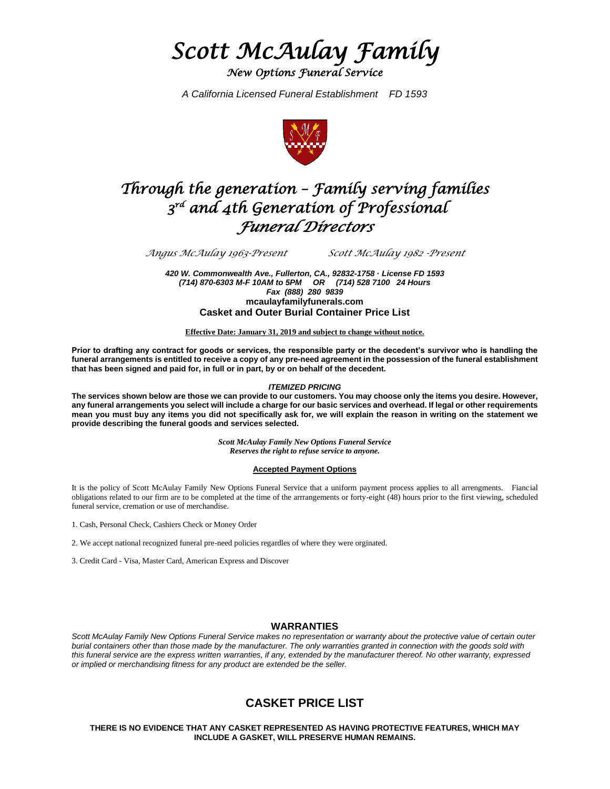*Scott McAulay Family* 

*New Options Funeral Service* 

*A California Licensed Funeral Establishment FD 1593*



# *Through the generation – Family serving families 3 rd and 4th Generation of Professional Funeral Directors*

*Angus McAulay 1963-Present Scott McAulay 1982 -Present*

*420 W. Commonwealth Ave., Fullerton, CA., 92832-1758 · License FD 1593 (714) 870-6303 M-F 10AM to 5PM OR (714) 528 7100 24 Hours Fax (888) 280 9839* **mcaulayfamilyfunerals.com Casket and Outer Burial Container Price List**

**Effective Date: January 31, 2019 and subject to change without notice.**

**Prior to drafting any contract for goods or services, the responsible party or the decedent's survivor who is handling the funeral arrangements is entitled to receive a copy of any pre-need agreement in the possession of the funeral establishment that has been signed and paid for, in full or in part, by or on behalf of the decedent.**

#### *ITEMIZED PRICING*

**The services shown below are those we can provide to our customers. You may choose only the items you desire. However, any funeral arrangements you select will include a charge for our basic services and overhead. If legal or other requirements mean you must buy any items you did not specifically ask for, we will explain the reason in writing on the statement we provide describing the funeral goods and services selected.**

> *Scott McAulay Family New Options Funeral Service Reserves the right to refuse service to anyone.*

#### **Accepted Payment Options**

It is the policy of Scott McAulay Family New Options Funeral Service that a uniform payment process applies to all arrengments. Fiancial obligations related to our firm are to be completed at the time of the arrrangements or forty-eight (48) hours prior to the first viewing, scheduled funeral service, cremation or use of merchandise.

- 1. Cash, Personal Check, Cashiers Check or Money Order
- 2. We accept national recognized funeral pre-need policies regardles of where they were orginated.
- 3. Credit Card Visa, Master Card, American Express and Discover

### **WARRANTIES**

*Scott McAulay Family New Options Funeral Service makes no representation or warranty about the protective value of certain outer burial containers other than those made by the manufacturer. The only warranties granted in connection with the goods sold with this funeral service are the express written warranties, if any, extended by the manufacturer thereof. No other warranty, expressed or implied or merchandising fitness for any product are extended be the seller.*

# **CASKET PRICE LIST**

**THERE IS NO EVIDENCE THAT ANY CASKET REPRESENTED AS HAVING PROTECTIVE FEATURES, WHICH MAY INCLUDE A GASKET, WILL PRESERVE HUMAN REMAINS.**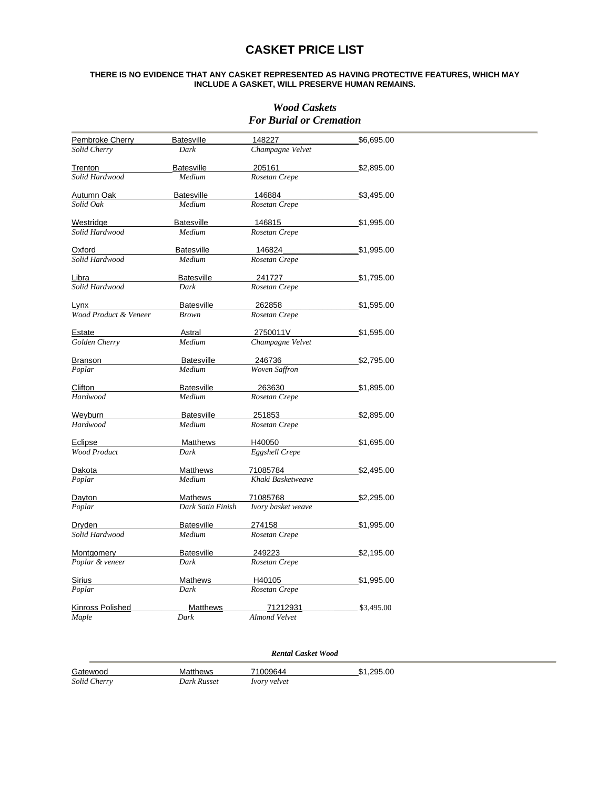# **CASKET PRICE LIST**

#### **THERE IS NO EVIDENCE THAT ANY CASKET REPRESENTED AS HAVING PROTECTIVE FEATURES, WHICH MAY INCLUDE A GASKET, WILL PRESERVE HUMAN REMAINS.**

### *Wood Caskets For Burial or Cremation*

| Pembroke Cherry       | <b>Batesville</b><br>148227 |                               | \$6,695.00 |
|-----------------------|-----------------------------|-------------------------------|------------|
| Solid Cherry          | Dark                        | Champagne Velvet              |            |
| Trenton               | Batesville                  | 205161                        | \$2,895.00 |
| Solid Hardwood        | Medium                      | Rosetan Crepe                 |            |
| <u>Autumn O</u> ak    | <b>Batesville</b>           | 146884                        | \$3,495.00 |
| Solid Oak             | Medium                      | Rosetan Crepe                 |            |
| Westridge             | <b>Batesville</b>           | 146815                        | \$1,995.00 |
| Solid Hardwood        | Medium                      | Rosetan Crepe                 |            |
| Oxford                | <b>Batesville</b>           | 146824                        | \$1,995.00 |
| Solid Hardwood        | Medium                      | Rosetan Crepe                 |            |
|                       |                             |                               |            |
| Libra                 | Batesville                  | 241727                        | \$1,795.00 |
| Solid Hardwood        | Dark                        | Rosetan Crepe                 |            |
| Lynx                  | <b>Batesville</b>           | 262858                        | \$1,595.00 |
| Wood Product & Veneer | <b>Brown</b>                | Rosetan Crepe                 |            |
| Estate                | Astral                      | 2750011V                      | \$1,595.00 |
| Golden Cherry         | Medium                      | Champagne Velvet              |            |
| Branson               | <b>Batesville</b>           | 246736                        | \$2,795.00 |
| Poplar                | Medium                      | <b>Woven Saffron</b>          |            |
| Clifton               | <b>Batesville</b>           | 263630                        | \$1,895.00 |
| Hardwood              | Medium                      | Rosetan Crepe                 |            |
| Weyburn               | <b>Batesville</b>           | 251853                        | \$2,895.00 |
| Hardwood              | Medium                      | Rosetan Crepe                 |            |
| Eclipse               | <b>Matthews</b>             | H40050                        | \$1,695.00 |
| <b>Wood Product</b>   | Dark                        | <b>Eggshell Crepe</b>         |            |
|                       |                             |                               |            |
| Dakota<br>Poplar      | <b>Matthews</b><br>Medium   | 71085784<br>Khaki Basketweave | \$2,495.00 |
|                       |                             |                               |            |
| Dayton                | Mathews                     | 71085768                      | \$2,295.00 |
| Poplar                | Dark Satin Finish           | Ivory basket weave            |            |
| Dryden                | <b>Batesville</b>           | 274158                        | \$1,995.00 |
| Solid Hardwood        | Medium                      | Rosetan Crepe                 |            |
| <b>Montgomery</b>     | <b>Batesville</b>           | 249223                        | \$2,195.00 |
| Poplar & veneer       | Dark                        | Rosetan Crepe                 |            |
| <b>Sirius</b>         | Mathews                     | H40105                        | \$1,995.00 |
| Poplar                | Dark                        | Rosetan Crepe                 |            |
| Kinross Polished      | <b>Matthews</b>             | 71212931                      | \$3,495.00 |
| Maple                 | Dark                        | <b>Almond Velvet</b>          |            |
|                       |                             |                               |            |

### *Rental Casket Wood*

| Gatewood     | <b>Matthews</b> | 71009644            | \$1.295.00 |
|--------------|-----------------|---------------------|------------|
| Solid Cherry | Dark Russet     | <i>Ivory</i> velvet |            |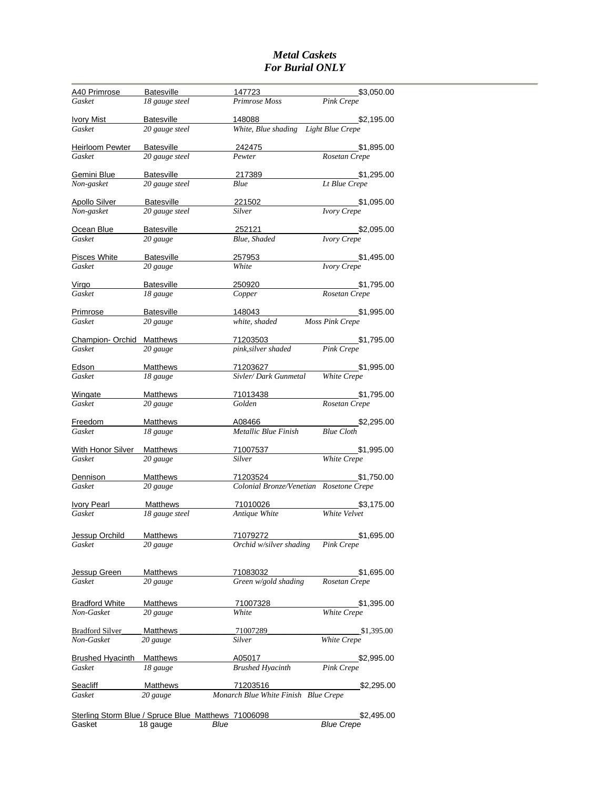### *Metal Caskets For Burial ONLY*

| A40 Primrose                                                  | Batesville                   | 147723                                         | \$3,050.00                         |
|---------------------------------------------------------------|------------------------------|------------------------------------------------|------------------------------------|
| Gasket                                                        | 18 gauge steel               | Primrose Moss                                  | Pink Crepe                         |
|                                                               |                              |                                                |                                    |
| <b>Ivory Mist</b><br>Gasket                                   | Batesville<br>20 gauge steel | 148088<br>White, Blue shading Light Blue Crepe | \$2,195.00                         |
|                                                               |                              |                                                |                                    |
| Heirloom Pewter                                               | Batesville                   | 242475                                         | \$1,895.00                         |
| Gasket                                                        | 20 gauge steel               | Pewter                                         | Rosetan Crepe                      |
| Gemini Blue                                                   | <b>Batesville</b>            | 217389                                         |                                    |
| Non-gasket                                                    | 20 gauge steel               | Blue                                           | $$1,295.00$<br>Lt Blue Crepe       |
|                                                               |                              |                                                |                                    |
| <b>Apollo Silver</b>                                          | <b>Batesville</b>            | 221502                                         | \$1,095.00                         |
| Non-gasket                                                    | 20 gauge steel               | <b>Silver</b>                                  | <b>Ivory Crepe</b>                 |
| Ocean Blue                                                    | Batesville                   | 252121                                         | \$2,095.00                         |
| Gasket                                                        | 20 gauge                     | Blue, Shaded                                   | <b>Ivory Crepe</b>                 |
|                                                               |                              |                                                |                                    |
| Pisces White                                                  | Batesville                   | 257953                                         | \$1,495.00                         |
| Gasket                                                        | 20 gauge                     | White                                          | <b>Ivory Crepe</b>                 |
| Virgo                                                         | Batesville                   | 250920                                         | \$1,795.00                         |
| Gasket                                                        | 18 gauge                     | Copper                                         | Rosetan Crepe                      |
|                                                               |                              |                                                |                                    |
| <b>Primrose</b>                                               | Batesville                   | <u> 148043  </u>                               | \$1,995.00                         |
| Gasket                                                        | 20 gauge                     | white, shaded                                  | Moss Pink Crepe                    |
| <b>Champion- Orchid</b>                                       | <b>Matthews</b>              | 71203503 \$1,795.00                            |                                    |
| Gasket                                                        | 20 gauge                     | pink, silver shaded                            | <b>Pink Crepe</b>                  |
|                                                               |                              |                                                |                                    |
| <b>Edson</b>                                                  | Matthews                     | 71203627                                       | \$1,995.00                         |
| Gasket                                                        | 18 gauge                     | Sivler/Dark Gunmetal White Crepe               |                                    |
| Wingate                                                       | Matthews                     | 71013438                                       | \$1,795.00                         |
| Gasket                                                        | 20 gauge                     | Golden                                         | Rosetan Crepe                      |
|                                                               |                              |                                                |                                    |
| <b>Freedom</b>                                                | Matthews                     | A08466 A0846                                   | $\frac{\$2,295.00}{Blue\:\:Cloth}$ |
| Gasket                                                        | 18 gauge                     | Metallic Blue Finish                           |                                    |
| With Honor Silver                                             | <b>Matthews</b>              | <u>71007537</u>                                | \$1,995.00                         |
| Gasket                                                        | 20 gauge                     | Silver                                         | White Crepe                        |
|                                                               |                              |                                                |                                    |
| Dennison                                                      | <b>Matthews</b>              | 71203524                                       | \$1,750.00                         |
| Gasket                                                        | 20 gauge                     | Colonial Bronze/Venetian Rosetone Crepe        |                                    |
| <b>Ivory Pearl</b>                                            | <b>Matthews</b>              | 71010026                                       | \$3,175.00                         |
| Gasket                                                        | 18 gauge steel               | Antique White                                  | White Velvet                       |
|                                                               |                              |                                                |                                    |
| Jessup Orchild                                                | <b>Matthews</b>              | 71079272                                       | \$1,695.00                         |
| Gasket                                                        | 20 gauge                     | Orchid w/silver shading                        | Pink Crepe                         |
|                                                               |                              |                                                |                                    |
|                                                               |                              |                                                |                                    |
| <b>Jessup Green</b><br>Gasket                                 | <b>Matthews</b><br>20 gauge  | 71083032<br>Green w/gold shading               | \$1,695.00<br>Rosetan Crepe        |
|                                                               |                              |                                                |                                    |
| <b>Bradford White</b>                                         | <b>Matthews</b>              | 71007328                                       | \$1,395.00                         |
| Non-Gasket                                                    | 20 gauge                     | White                                          | White Crepe                        |
|                                                               |                              |                                                |                                    |
| <b>Bradford Silver</b>                                        | Matthews                     | 71007289                                       | \$1,395.00                         |
| Non-Gasket                                                    | 20 gauge                     | Silver                                         | White Crepe                        |
| <b>Brushed Hyacinth</b>                                       | <b>Matthews</b>              | A05017                                         | \$2,995.00                         |
| Gasket                                                        | 18 gauge                     | <b>Brushed Hyacinth</b>                        | Pink Crepe                         |
|                                                               |                              |                                                |                                    |
| <u>Seacliff</u>                                               | <b>Matthews</b>              | 71203516                                       | \$2,295.00                         |
| Gasket                                                        | 20 gauge                     | Monarch Blue White Finish Blue Crepe           |                                    |
|                                                               |                              |                                                |                                    |
| Sterling Storm Blue / Spruce Blue Matthews 71006098<br>Gasket | 18 gauge                     | Blue                                           | \$2,495.00<br><b>Blue Crepe</b>    |
|                                                               |                              |                                                |                                    |